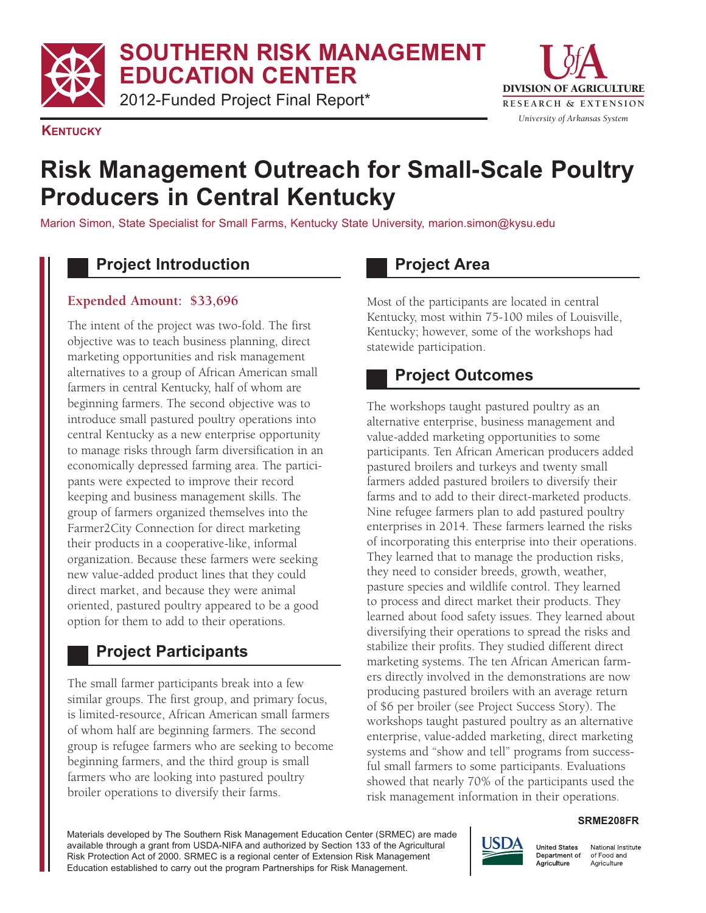**SOUTHERN RISK MANAGEMENT EDUCATION CENTER**

2012-Funded Project Final Report\* The Research & EXTENSION



#### **KENTUCKY**

# **Risk Management Outreach for Small-Scale Poultry Producers in Central Kentucky**

Marion Simon, State Specialist for Small Farms, Kentucky State University, marion.simon@kysu.edu

## **Project Introduction**

#### **Expended Amount: \$33,696**

The intent of the project was two-fold. The first objective was to teach business planning, direct marketing opportunities and risk management alternatives to a group of African American small farmers in central Kentucky, half of whom are beginning farmers. The second objective was to introduce small pastured poultry operations into central Kentucky as a new enterprise opportunity to manage risks through farm diversification in an economically depressed farming area. The partici- pants were expected to improve their record keeping and business management skills. The group of farmers organized themselves into the Farmer2City Connection for direct marketing their products in a cooperative-like, informal organization. Because these farmers were seeking new value-added product lines that they could direct market, and because they were animal oriented, pastured poultry appeared to be a good option for them to add to their operations.

## **Project Participants**

 The small farmer participants break into a few similar groups. The first group, and primary focus, is limited-resource, African American small farmers of whom half are beginning farmers. The second group is refugee farmers who are seeking to become beginning farmers, and the third group is small farmers who are looking into pastured poultry broiler operations to diversify their farms.

# **Project Area**

 Most of the participants are located in central Kentucky, most within 75100 miles of Louisville, Kentucky; however, some of the workshops had statewide participation.

## **Project Outcomes**

 The workshops taught pastured poultry as an alternative enterprise, business management and value-added marketing opportunities to some participants. Ten African American producers added pastured broilers and turkeys and twenty small farmers added pastured broilers to diversify their farms and to add to their direct-marketed products. Nine refugee farmers plan to add pastured poultry enterprises in 2014. These farmers learned the risks of incorporating this enterprise into their operations. They learned that to manage the production risks, they need to consider breeds, growth, weather, pasture species and wildlife control. They learned to process and direct market their products. They learned about food safety issues. They learned about diversifying their operations to spread the risks and stabilize their profits. They studied different direct marketing systems. The ten African American farm- ers directly involved in the demonstrations are now producing pastured broilers with an average return of \$6 per broiler (see Project Success Story). The workshops taught pastured poultry as an alternative enterprise, value-added marketing, direct marketing systems and "show and tell" programs from success- ful small farmers to some participants. Evaluations showed that nearly 70% of the participants used the risk management information in their operations.

#### **SRME208FR**

 Materials developed by The Southern Risk Management Education Center (SRMEC) are made available through a grant from USDA-NIFA and authorized by Section 133 of the Agricultural Risk Protection Act of 2000. SRMEC is a regional center of Extension Risk Management Education established to carry out the program Partnerships for Risk Management.



National Institute of Food and Agriculture